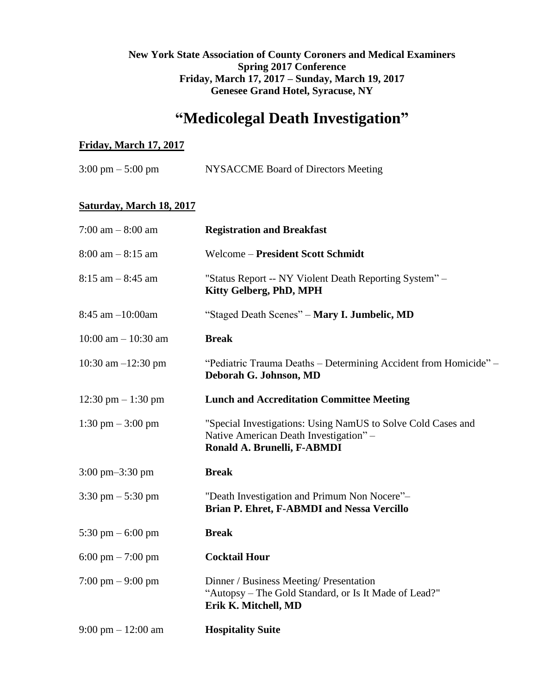## **New York State Association of County Coroners and Medical Examiners Spring 2017 Conference Friday, March 17, 2017 – Sunday, March 19, 2017 Genesee Grand Hotel, Syracuse, NY**

# **"Medicolegal Death Investigation"**

### **Friday, March 17, 2017**

| $3:00 \text{ pm} - 5:00 \text{ pm}$ | NYSACCME Board of Directors Meeting |
|-------------------------------------|-------------------------------------|
|                                     |                                     |

## **Saturday, March 18, 2017**

| $7:00$ am $-8:00$ am                 | <b>Registration and Breakfast</b>                                                                                                     |  |
|--------------------------------------|---------------------------------------------------------------------------------------------------------------------------------------|--|
| $8:00$ am $-8:15$ am                 | Welcome - President Scott Schmidt                                                                                                     |  |
| $8:15$ am $-8:45$ am                 | "Status Report -- NY Violent Death Reporting System" -<br>Kitty Gelberg, PhD, MPH                                                     |  |
| 8:45 am -10:00am                     | "Staged Death Scenes" – Mary I. Jumbelic, MD                                                                                          |  |
| $10:00$ am $- 10:30$ am              | <b>Break</b>                                                                                                                          |  |
| 10:30 am $-12:30$ pm                 | "Pediatric Trauma Deaths – Determining Accident from Homicide" –<br>Deborah G. Johnson, MD                                            |  |
| 12:30 pm $-1:30$ pm                  | <b>Lunch and Accreditation Committee Meeting</b>                                                                                      |  |
| 1:30 pm $-$ 3:00 pm                  | "Special Investigations: Using NamUS to Solve Cold Cases and<br>Native American Death Investigation" -<br>Ronald A. Brunelli, F-ABMDI |  |
| $3:00 \text{ pm} - 3:30 \text{ pm}$  | <b>Break</b>                                                                                                                          |  |
| $3:30 \text{ pm} - 5:30 \text{ pm}$  | "Death Investigation and Primum Non Nocere"-<br>Brian P. Ehret, F-ABMDI and Nessa Vercillo                                            |  |
| 5:30 pm $-$ 6:00 pm                  | <b>Break</b>                                                                                                                          |  |
| 6:00 pm $-7:00$ pm                   | <b>Cocktail Hour</b>                                                                                                                  |  |
| $7:00 \text{ pm} - 9:00 \text{ pm}$  | Dinner / Business Meeting/ Presentation<br>"Autopsy – The Gold Standard, or Is It Made of Lead?"<br>Erik K. Mitchell, MD              |  |
| $9:00 \text{ pm} - 12:00 \text{ am}$ | <b>Hospitality Suite</b>                                                                                                              |  |